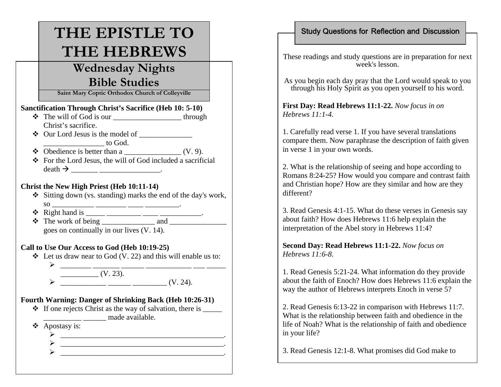# **THE EPISTLE TO THE HEBREWS**

# **Wednesday Nights Bible Studies**

**Saint Mary Coptic Orthodox Church of Colleyville**

#### **Sanctification Through Christ's Sacrifice (Heb 10: 5-10)**

- $\triangleleft$  The will of God is our  $\frac{1}{\sqrt{1-\frac{1}{n}}}\cdot\frac{1}{\sqrt{1-\frac{1}{n}}}\cdot\frac{1}{\sqrt{1-\frac{1}{n}}}\cdot\frac{1}{\sqrt{1-\frac{1}{n}}}\cdot\frac{1}{\sqrt{1-\frac{1}{n}}}\cdot\frac{1}{\sqrt{1-\frac{1}{n}}}\cdot\frac{1}{\sqrt{1-\frac{1}{n}}}\cdot\frac{1}{\sqrt{1-\frac{1}{n}}}\cdot\frac{1}{\sqrt{1-\frac{1}{n}}}\cdot\frac{1}{\sqrt{1-\frac{1}{n}}}\cdot\frac{1}{\sqrt{1-\frac$ Christ's sacrifice.
- $\triangleleft$  Our Lord Jesus is the model of \_\_\_\_\_\_\_\_\_\_\_\_\_\_\_\_ to God.
- Obedience is better than a \_\_\_\_\_\_\_\_\_\_\_\_\_\_\_ (V. 9).
- $\triangle$  For the Lord Jesus, the will of God included a sacrificial death  $\rightarrow$  \_\_\_\_\_\_\_\_\_\_\_\_\_\_\_\_\_\_\_\_\_\_\_\_\_\_.

### **Christ the New High Priest (Heb 10:11-14)**

- Sitting down (vs. standing) marks the end of the day's work, so \_\_\_\_\_\_\_\_\_\_\_ \_\_\_\_\_\_\_\_ \_\_\_\_ \_\_\_\_\_\_\_\_\_.
- $\triangleleft$  Right hand is \_\_\_\_\_\_ \_\_\_\_\_\_\_\_\_\_\_\_\_\_\_\_\_\_\_\_\_\_\_\_.
- The work of being \_\_\_\_\_\_\_\_\_\_\_\_\_\_ and \_\_\_\_\_\_\_\_\_\_\_\_\_\_\_ goes on continually in our lives (V. 14).

#### **Call to Use Our Access to God (Heb 10:19-25)**

- $\triangleleft$  Let us draw near to God (V. 22) and this will enable us to: ¾
	- $\frac{1}{(V. 23)}$   $\frac{1}{(V. 23)}$ ¾ \_\_\_\_\_\_\_\_\_\_\_\_ \_\_\_\_\_\_ \_\_\_\_\_\_\_\_\_ (V. 24).

#### **Fourth Warning: Danger of Shrinking Back (Heb 10:26-31)**

- $\cdot \cdot$  If one rejects Christ as the way of salvation, there is  $\frac{ }{ }$ **\_\_\_\_\_\_** made available.
- Apostasy is:
	- ¾ \_\_\_\_\_\_\_\_\_\_\_\_\_\_\_\_\_\_\_\_\_\_\_\_\_\_\_\_\_\_\_\_\_\_\_\_\_\_\_\_\_\_\_. ¾ \_\_\_\_\_\_\_\_\_\_\_\_\_\_\_\_\_\_\_\_\_\_\_\_\_\_\_\_\_\_\_\_\_\_\_\_\_\_\_\_\_\_\_.
	- ¾\_\_\_\_\_\_\_\_\_\_\_\_\_\_\_\_\_\_\_\_\_\_\_\_\_\_\_\_\_\_\_\_\_\_\_\_\_\_\_\_\_\_\_.

#### Study Questions for Reflection and Discussion

These readings and study questions are in preparation for next week's lesson.

As you begin each day pray that the Lord would speak to you through his Holy Spirit as you open yourself to his word.

**First Day: Read Hebrews 11:1-22.** *Now focus in on Hebrews 11:1-4.* 

1. Carefully read verse 1. If you have several translations compare them. Now paraphrase the description of faith given in verse 1 in your own words.

2. What is the relationship of seeing and hope according to Romans 8:24-25? How would you compare and contrast faith and Christian hope? How are they similar and how are they different?

3. Read Genesis 4:1-15. What do these verses in Genesis say about faith? How does Hebrews 11:6 help explain the interpretation of the Abel story in Hebrews 11:4?

**Second Day: Read Hebrews 11:1-22.** *Now focus on Hebrews 11:6-8.* 

1. Read Genesis 5:21-24. What information do they provide about the faith of Enoch? How does Hebrews 11:6 explain the way the author of Hebrews interprets Enoch in verse 5?

2. Read Genesis 6:13-22 in comparison with Hebrews 11:7. What is the relationship between faith and obedience in the life of Noah? What is the relationship of faith and obedience in your life?

3. Read Genesis 12:1-8. What promises did God make to